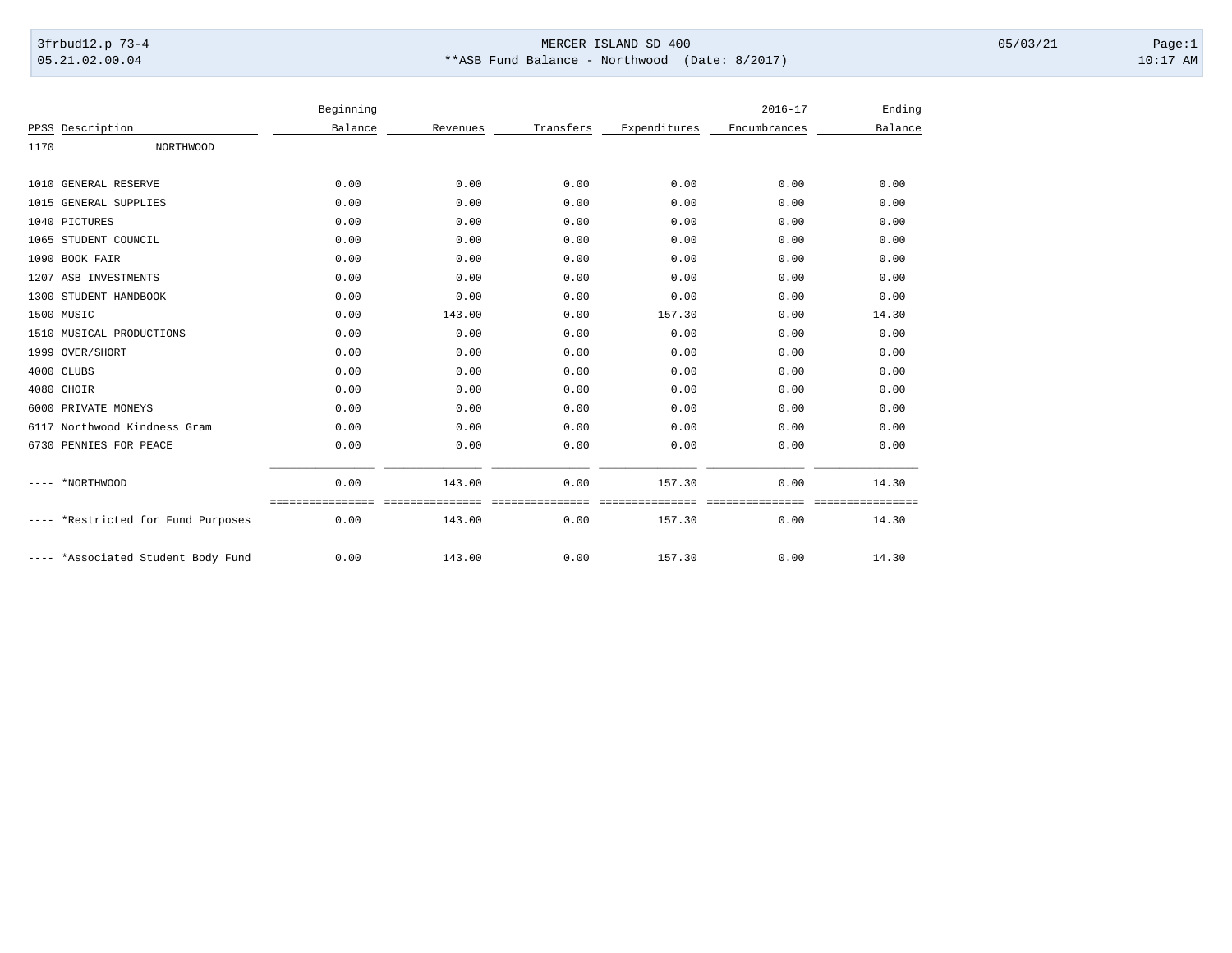## 3frbud12.p 73-4 Page:1 Page:1 05.21.02.00.04 \*\*ASB Fund Balance - Northwood (Date: 8/2017) 10:17 AM

|      |                               | Beginning |                   |           |              | $2016 - 17$<br>Encumbrances | Ending<br>Balance |
|------|-------------------------------|-----------|-------------------|-----------|--------------|-----------------------------|-------------------|
|      | PPSS Description              | Balance   | Revenues          | Transfers | Expenditures |                             |                   |
| 1170 | NORTHWOOD                     |           |                   |           |              |                             |                   |
|      | 1010 GENERAL RESERVE          | 0.00      | 0.00              | 0.00      | 0.00         | 0.00                        | 0.00              |
|      | 1015 GENERAL SUPPLIES         | 0.00      | 0.00              | 0.00      | 0.00         | 0.00                        | 0.00              |
|      | 1040 PICTURES                 | 0.00      | 0.00              | 0.00      | 0.00         | 0.00                        | 0.00              |
|      | 1065 STUDENT COUNCIL          | 0.00      | 0.00              | 0.00      | 0.00         | 0.00                        | 0.00              |
|      | 1090 BOOK FAIR                | 0.00      | 0.00              | 0.00      | 0.00         | 0.00                        | 0.00              |
|      | 1207 ASB INVESTMENTS          | 0.00      | 0.00              | 0.00      | 0.00         | 0.00                        | 0.00              |
|      | 1300 STUDENT HANDBOOK         | 0.00      | 0.00              | 0.00      | 0.00         | 0.00                        | 0.00              |
|      | 1500 MUSIC                    | 0.00      | 143.00            | 0.00      | 157.30       | 0.00                        | 14.30             |
|      | 1510 MUSICAL PRODUCTIONS      | 0.00      | 0.00              | 0.00      | 0.00         | 0.00                        | 0.00              |
|      | 1999 OVER/SHORT               | 0.00      | 0.00              | 0.00      | 0.00         | 0.00                        | 0.00              |
|      | 4000 CLUBS                    | 0.00      | 0.00              | 0.00      | 0.00         | 0.00                        | 0.00              |
|      | 4080 CHOIR                    | 0.00      | 0.00              | 0.00      | 0.00         | 0.00                        | 0.00              |
|      | 6000 PRIVATE MONEYS           | 0.00      | 0.00              | 0.00      | 0.00         | 0.00                        | 0.00              |
|      | 6117 Northwood Kindness Gram  | 0.00      | 0.00              | 0.00      | 0.00         | 0.00                        | 0.00              |
|      | 6730 PENNIES FOR PEACE        | 0.00      | 0.00              | 0.00      | 0.00         | 0.00                        | 0.00              |
|      | *NORTHWOOD                    | 0.00      | 143.00            | 0.00      | 157.30       | 0.00                        | 14.30             |
|      | *Restricted for Fund Purposes | 0.00      | =======<br>143.00 | 0.00      | 157.30       | 0.00                        | ========<br>14.30 |
|      | *Associated Student Body Fund | 0.00      | 143.00            | 0.00      | 157.30       | 0.00                        | 14.30             |